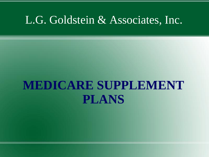### L.G. Goldstein & Associates, Inc.

# **MEDICARE SUPPLEMENT PLANS**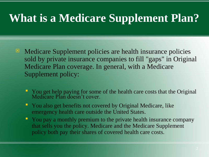# **What is a Medicare Supplement Plan?**

- $\blacksquare$  Medicare Supplement policies are health insurance policies sold by private insurance companies to fill "gaps" in Original Medicare Plan coverage. In general, with a Medicare Supplement policy:
	- You get help paying for some of the health care costs that the Original Medicare Plan doesn't cover.
	- You also get benefits not covered by Original Medicare, like emergency health care outside the United States.
	- You pay a monthly premium to the private health insurance company that sells you the policy. Medicare and the Medicare Supplement policy both pay their shares of covered health care costs.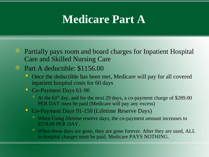### **Medicare Part A**

 $\blacksquare$  Partially pays room and board charges for Inpatient Hospital Care and Skilled Nursing Care

#### Part A deductible: \$1156.00

- Once the deductible has been met, Medicare will pay for all covered inpatient hospital costs for 60 days
- **Co-Payment Days 61-90** 
	- At the  $61<sup>st</sup>$  day, and for the next 29 days, a co-payment charge of \$289.00 PER DAY must be paid (Medicare will pay any excess)
- Co-Payment Days 91-150 (Lifetime Reserve Days)
	- When Using lifetime reserve days, the co-payment amount increases to \$578.00 PER DAY.
	- When these days are gone, they are gone forever. After they are used, ALL in-hospital charges must be paid. Medicare PAYS NOTHING.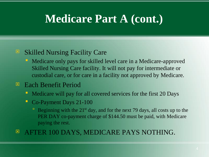### **Medicare Part A (cont.)**

#### **E** Skilled Nursing Facility Care

- Medicare only pays for skilled level care in a Medicare-approved Skilled Nursing Care facility. It will not pay for intermediate or custodial care, or for care in a facility not approved by Medicare.
- Each Benefit Period
	- Medicare will pay for all covered services for the first 20 Days
	- **Co-Payment Days 21-100** 
		- Beginning with the  $21<sup>st</sup>$  day, and for the next 79 days, all costs up to the PER DAY co-payment charge of \$144.50 must be paid, with Medicare paying the rest.
- **E** AFTER 100 DAYS, MEDICARE PAYS NOTHING.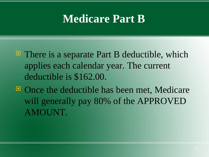### **Medicare Part B**

- $\blacksquare$  There is a separate Part B deductible, which applies each calendar year. The current deductible is \$162.00.
- Once the deductible has been met, Medicare will generally pay 80% of the APPROVED AMOUNT.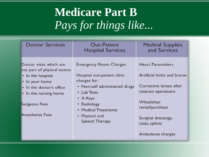# **Medicare Part B** *Pays for things like...*

| <b>Doctor Services</b>                                                                                                                                                                                | Out-Patient<br><b>Hospital Services</b>                                                                                                                                                                               | <b>Medical Supplies</b><br>and Services                                                                                                                                                                 |
|-------------------------------------------------------------------------------------------------------------------------------------------------------------------------------------------------------|-----------------------------------------------------------------------------------------------------------------------------------------------------------------------------------------------------------------------|---------------------------------------------------------------------------------------------------------------------------------------------------------------------------------------------------------|
| Doctor visits which are<br>not part of physical exams:<br>• In the hospital<br>• In your home<br>• In the doctor's office<br>• In the nursing home<br><b>Surgeons Fees</b><br><b>Anesthetist Fees</b> | <b>Emergency Room Charges</b><br>Hospital out-patient clinic<br>charges for:<br>• Non-self administered drugs<br>• Lab Tests<br>• $X-Rays$<br>• Radiology<br>• Medical Treatments<br>• Physical and<br>Speech Therapy | <b>Heart Pacemakers</b><br>Artificial limbs and braces<br>Corrective lenses after<br>cataract operations<br>Wheelchair<br>rental/purchase<br>Surgical dressings,<br>casts, splints<br>Ambulance charges |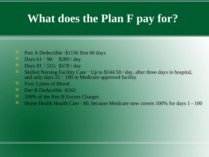## **What does the Plan F pay for?**

- **Part A Deductible -\$1156 first 60 days**
- **D** Days  $61 90$ : \$289 / day
- **Days** 91 515: \$578 / day
- Skilled Nursing Facility Care Up to  $$144.50 / day$ , after three days in hospital, and only days  $21 - 100$  in Medicare approved facility
- $\blacksquare$  First 3 pints of Blood
- **Part B Deductible -\$162**
- <sup>100%</sup> of the Part B Excess Charges
- **E** Home Health Health Care \$0, because Medicare now covers 100% for days 1 100